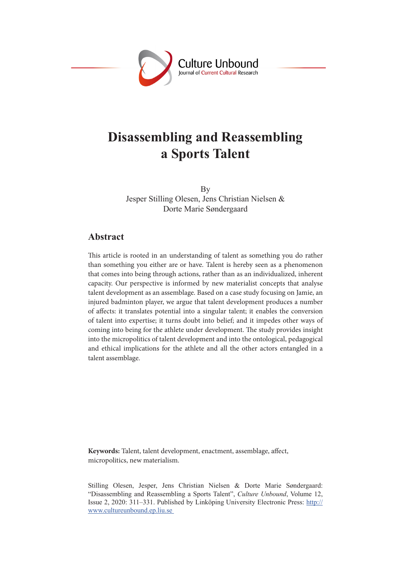

# **Disassembling and Reassembling a Sports Talent**

By Jesper Stilling Olesen, Jens Christian Nielsen & Dorte Marie Søndergaard

### **Abstract**

This article is rooted in an understanding of talent as something you do rather than something you either are or have. Talent is hereby seen as a phenomenon that comes into being through actions, rather than as an individualized, inherent capacity. Our perspective is informed by new materialist concepts that analyse talent development as an assemblage. Based on a case study focusing on Jamie, an injured badminton player, we argue that talent development produces a number of affects: it translates potential into a singular talent; it enables the conversion of talent into expertise; it turns doubt into belief; and it impedes other ways of coming into being for the athlete under development. The study provides insight into the micropolitics of talent development and into the ontological, pedagogical and ethical implications for the athlete and all the other actors entangled in a talent assemblage.

**Keywords:** Talent, talent development, enactment, assemblage, affect, micropolitics, new materialism.

Stilling Olesen, Jesper, Jens Christian Nielsen & Dorte Marie Søndergaard: "Disassembling and Reassembling a Sports Talent", *Culture Unbound*, Volume 12, Issue 2, 2020: 311–331. Published by Linköping University Electronic Press: http:// www.cultureunbound.ep.liu.se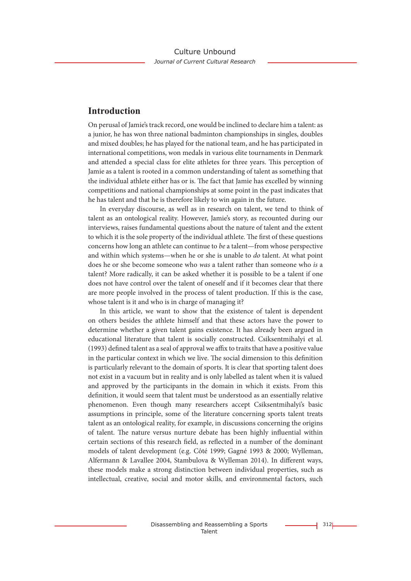## **Introduction**

On perusal of Jamie's track record, one would be inclined to declare him a talent: as a junior, he has won three national badminton championships in singles, doubles and mixed doubles; he has played for the national team, and he has participated in international competitions, won medals in various elite tournaments in Denmark and attended a special class for elite athletes for three years. This perception of Jamie as a talent is rooted in a common understanding of talent as something that the individual athlete either has or is. The fact that Jamie has excelled by winning competitions and national championships at some point in the past indicates that he has talent and that he is therefore likely to win again in the future.

In everyday discourse, as well as in research on talent, we tend to think of talent as an ontological reality. However, Jamie's story, as recounted during our interviews, raises fundamental questions about the nature of talent and the extent to which it is the sole property of the individual athlete. The first of these questions concerns how long an athlete can continue to *be* a talent—from whose perspective and within which systems—when he or she is unable to *do* talent. At what point does he or she become someone who *was* a talent rather than someone who *is* a talent? More radically, it can be asked whether it is possible to be a talent if one does not have control over the talent of oneself and if it becomes clear that there are more people involved in the process of talent production. If this is the case, whose talent is it and who is in charge of managing it?

In this article, we want to show that the existence of talent is dependent on others besides the athlete himself and that these actors have the power to determine whether a given talent gains existence. It has already been argued in educational literature that talent is socially constructed. Csiksentmihalyi et al. (1993) defined talent as a seal of approval we affix to traits that have a positive value in the particular context in which we live. The social dimension to this definition is particularly relevant to the domain of sports. It is clear that sporting talent does not exist in a vacuum but in reality and is only labelled as talent when it is valued and approved by the participants in the domain in which it exists. From this definition, it would seem that talent must be understood as an essentially relative phenomenon. Even though many researchers accept Csiksentmihalyi's basic assumptions in principle, some of the literature concerning sports talent treats talent as an ontological reality, for example, in discussions concerning the origins of talent. The nature versus nurture debate has been highly influential within certain sections of this research field, as reflected in a number of the dominant models of talent development (e.g. Côté 1999; Gagné 1993 & 2000; Wylleman, Alfermann & Lavallee 2004, Stambulova & Wylleman 2014). In different ways, these models make a strong distinction between individual properties, such as intellectual, creative, social and motor skills, and environmental factors, such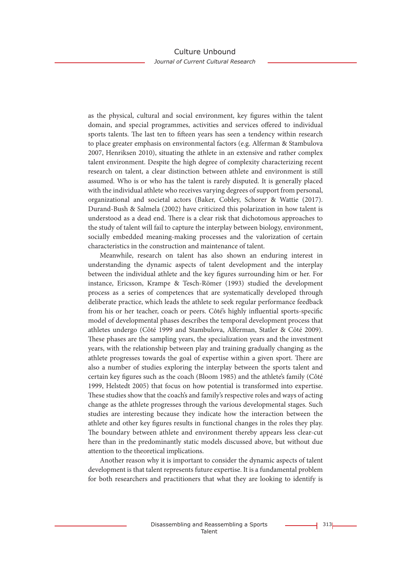as the physical, cultural and social environment, key figures within the talent domain, and special programmes, activities and services offered to individual sports talents. The last ten to fifteen years has seen a tendency within research to place greater emphasis on environmental factors (e.g. Alferman & Stambulova 2007, Henriksen 2010), situating the athlete in an extensive and rather complex talent environment. Despite the high degree of complexity characterizing recent research on talent, a clear distinction between athlete and environment is still assumed. Who is or who has the talent is rarely disputed. It is generally placed with the individual athlete who receives varying degrees of support from personal, organizational and societal actors (Baker, Cobley, Schorer & Wattie (2017). Durand-Bush & Salmela (2002) have criticized this polarization in how talent is understood as a dead end. There is a clear risk that dichotomous approaches to the study of talent will fail to capture the interplay between biology, environment, socially embedded meaning-making processes and the valorization of certain characteristics in the construction and maintenance of talent.

Meanwhile, research on talent has also shown an enduring interest in understanding the dynamic aspects of talent development and the interplay between the individual athlete and the key figures surrounding him or her. For instance, Ericsson, Krampe & Tesch-Römer (1993) studied the development process as a series of competences that are systematically developed through deliberate practice, which leads the athlete to seek regular performance feedback from his or her teacher, coach or peers. Côté's highly influential sports-specific model of developmental phases describes the temporal development process that athletes undergo (Côté 1999 and Stambulova, Alferman, Statler & Côté 2009). These phases are the sampling years, the specialization years and the investment years, with the relationship between play and training gradually changing as the athlete progresses towards the goal of expertise within a given sport. There are also a number of studies exploring the interplay between the sports talent and certain key figures such as the coach (Bloom 1985) and the athlete's family (Côté 1999, Helstedt 2005) that focus on how potential is transformed into expertise. These studies show that the coach's and family's respective roles and ways of acting change as the athlete progresses through the various developmental stages. Such studies are interesting because they indicate how the interaction between the athlete and other key figures results in functional changes in the roles they play. The boundary between athlete and environment thereby appears less clear-cut here than in the predominantly static models discussed above, but without due attention to the theoretical implications.

Another reason why it is important to consider the dynamic aspects of talent development is that talent represents future expertise. It is a fundamental problem for both researchers and practitioners that what they are looking to identify is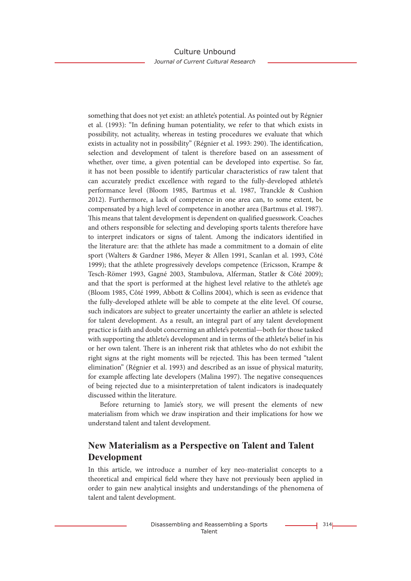something that does not yet exist: an athlete's potential. As pointed out by Régnier et al. (1993): "In defining human potentiality, we refer to that which exists in possibility, not actuality, whereas in testing procedures we evaluate that which exists in actuality not in possibility" (Régnier et al. 1993: 290). The identification, selection and development of talent is therefore based on an assessment of whether, over time, a given potential can be developed into expertise. So far, it has not been possible to identify particular characteristics of raw talent that can accurately predict excellence with regard to the fully-developed athlete's performance level (Bloom 1985, Bartmus et al. 1987, Tranckle & Cushion 2012). Furthermore, a lack of competence in one area can, to some extent, be compensated by a high level of competence in another area (Bartmus et al. 1987). This means that talent development is dependent on qualified guesswork. Coaches and others responsible for selecting and developing sports talents therefore have to interpret indicators or signs of talent. Among the indicators identified in the literature are: that the athlete has made a commitment to a domain of elite sport (Walters & Gardner 1986, Meyer & Allen 1991, Scanlan et al. 1993, Côté 1999); that the athlete progressively develops competence (Ericsson, Krampe & Tesch-Römer 1993, Gagné 2003, Stambulova, Alferman, Statler & Côté 2009); and that the sport is performed at the highest level relative to the athlete's age (Bloom 1985, Côté 1999, Abbott & Collins 2004), which is seen as evidence that the fully-developed athlete will be able to compete at the elite level. Of course, such indicators are subject to greater uncertainty the earlier an athlete is selected for talent development. As a result, an integral part of any talent development practice is faith and doubt concerning an athlete's potential—both for those tasked with supporting the athlete's development and in terms of the athlete's belief in his or her own talent. There is an inherent risk that athletes who do not exhibit the right signs at the right moments will be rejected. This has been termed "talent elimination" (Régnier et al. 1993) and described as an issue of physical maturity, for example affecting late developers (Malina 1997). The negative consequences of being rejected due to a misinterpretation of talent indicators is inadequately discussed within the literature.

Before returning to Jamie's story, we will present the elements of new materialism from which we draw inspiration and their implications for how we understand talent and talent development.

# **New Materialism as a Perspective on Talent and Talent Development**

In this article, we introduce a number of key neo-materialist concepts to a theoretical and empirical field where they have not previously been applied in order to gain new analytical insights and understandings of the phenomena of talent and talent development.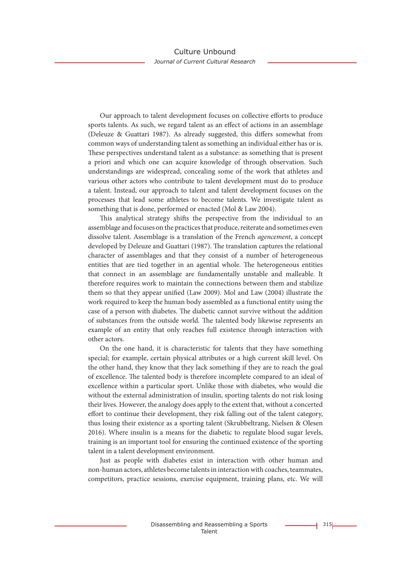Our approach to talent development focuses on collective efforts to produce sports talents. As such, we regard talent as an effect of actions in an assemblage (Deleuze & Guattari 1987). As already suggested, this differs somewhat from common ways of understanding talent as something an individual either has or is. These perspectives understand talent as a substance: as something that is present a priori and which one can acquire knowledge of through observation. Such understandings are widespread, concealing some of the work that athletes and various other actors who contribute to talent development must do to produce a talent. Instead, our approach to talent and talent development focuses on the processes that lead some athletes to become talents. We investigate talent as something that is done, performed or enacted (Mol & Law 2004).

This analytical strategy shifts the perspective from the individual to an assemblage and focuses on the practices that produce, reiterate and sometimes even dissolve talent. Assemblage is a translation of the French *agencement*, a concept developed by Deleuze and Guattari (1987). The translation captures the relational character of assemblages and that they consist of a number of heterogeneous entities that are tied together in an agential whole. The heterogeneous entities that connect in an assemblage are fundamentally unstable and malleable. It therefore requires work to maintain the connections between them and stabilize them so that they appear unified (Law 2009). Mol and Law (2004) illustrate the work required to keep the human body assembled as a functional entity using the case of a person with diabetes. The diabetic cannot survive without the addition of substances from the outside world. The talented body likewise represents an example of an entity that only reaches full existence through interaction with other actors.

On the one hand, it is characteristic for talents that they have something special; for example, certain physical attributes or a high current skill level. On the other hand, they know that they lack something if they are to reach the goal of excellence. The talented body is therefore incomplete compared to an ideal of excellence within a particular sport. Unlike those with diabetes, who would die without the external administration of insulin, sporting talents do not risk losing their lives. However, the analogy does apply to the extent that, without a concerted effort to continue their development, they risk falling out of the talent category, thus losing their existence as a sporting talent (Skrubbeltrang, Nielsen & Olesen 2016). Where insulin is a means for the diabetic to regulate blood sugar levels, training is an important tool for ensuring the continued existence of the sporting talent in a talent development environment.

Just as people with diabetes exist in interaction with other human and non-human actors, athletes become talents in interaction with coaches, teammates, competitors, practice sessions, exercise equipment, training plans, etc. We will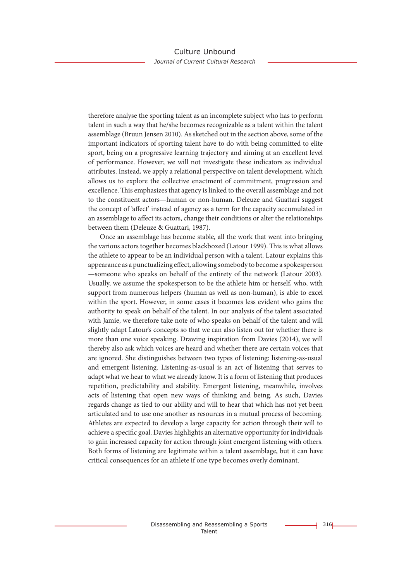therefore analyse the sporting talent as an incomplete subject who has to perform talent in such a way that he/she becomes recognizable as a talent within the talent assemblage (Bruun Jensen 2010). As sketched out in the section above, some of the important indicators of sporting talent have to do with being committed to elite sport, being on a progressive learning trajectory and aiming at an excellent level of performance. However, we will not investigate these indicators as individual attributes. Instead, we apply a relational perspective on talent development, which allows us to explore the collective enactment of commitment, progression and excellence. This emphasizes that agency is linked to the overall assemblage and not to the constituent actors—human or non-human. Deleuze and Guattari suggest the concept of 'affect' instead of agency as a term for the capacity accumulated in an assemblage to affect its actors, change their conditions or alter the relationships between them (Deleuze & Guattari, 1987).

Once an assemblage has become stable, all the work that went into bringing the various actors together becomes blackboxed (Latour 1999). This is what allows the athlete to appear to be an individual person with a talent. Latour explains this appearance as a punctualizing effect, allowing somebody to become a spokesperson —someone who speaks on behalf of the entirety of the network (Latour 2003). Usually, we assume the spokesperson to be the athlete him or herself, who, with support from numerous helpers (human as well as non-human), is able to excel within the sport. However, in some cases it becomes less evident who gains the authority to speak on behalf of the talent. In our analysis of the talent associated with Jamie, we therefore take note of who speaks on behalf of the talent and will slightly adapt Latour's concepts so that we can also listen out for whether there is more than one voice speaking. Drawing inspiration from Davies (2014), we will thereby also ask which voices are heard and whether there are certain voices that are ignored. She distinguishes between two types of listening: listening-as-usual and emergent listening. Listening-as-usual is an act of listening that serves to adapt what we hear to what we already know. It is a form of listening that produces repetition, predictability and stability. Emergent listening, meanwhile, involves acts of listening that open new ways of thinking and being. As such, Davies regards change as tied to our ability and will to hear that which has not yet been articulated and to use one another as resources in a mutual process of becoming. Athletes are expected to develop a large capacity for action through their will to achieve a specific goal. Davies highlights an alternative opportunity for individuals to gain increased capacity for action through joint emergent listening with others. Both forms of listening are legitimate within a talent assemblage, but it can have critical consequences for an athlete if one type becomes overly dominant.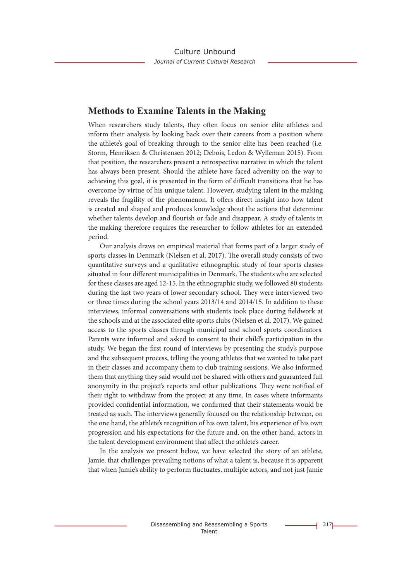### **Methods to Examine Talents in the Making**

When researchers study talents, they often focus on senior elite athletes and inform their analysis by looking back over their careers from a position where the athlete's goal of breaking through to the senior elite has been reached (i.e. Storm, Henriksen & Christensen 2012; Debois, Ledon & Wylleman 2015). From that position, the researchers present a retrospective narrative in which the talent has always been present. Should the athlete have faced adversity on the way to achieving this goal, it is presented in the form of difficult transitions that he has overcome by virtue of his unique talent. However, studying talent in the making reveals the fragility of the phenomenon. It offers direct insight into how talent is created and shaped and produces knowledge about the actions that determine whether talents develop and flourish or fade and disappear. A study of talents in the making therefore requires the researcher to follow athletes for an extended period.

Our analysis draws on empirical material that forms part of a larger study of sports classes in Denmark (Nielsen et al. 2017). The overall study consists of two quantitative surveys and a qualitative ethnographic study of four sports classes situated in four different municipalities in Denmark. The students who are selected for these classes are aged 12-15. In the ethnographic study, we followed 80 students during the last two years of lower secondary school. They were interviewed two or three times during the school years 2013/14 and 2014/15. In addition to these interviews, informal conversations with students took place during fieldwork at the schools and at the associated elite sports clubs (Nielsen et al. 2017). We gained access to the sports classes through municipal and school sports coordinators. Parents were informed and asked to consent to their child's participation in the study. We began the first round of interviews by presenting the study's purpose and the subsequent process, telling the young athletes that we wanted to take part in their classes and accompany them to club training sessions. We also informed them that anything they said would not be shared with others and guaranteed full anonymity in the project's reports and other publications. They were notified of their right to withdraw from the project at any time. In cases where informants provided confidential information, we confirmed that their statements would be treated as such. The interviews generally focused on the relationship between, on the one hand, the athlete's recognition of his own talent, his experience of his own progression and his expectations for the future and, on the other hand, actors in the talent development environment that affect the athlete's career.

In the analysis we present below, we have selected the story of an athlete, Jamie, that challenges prevailing notions of what a talent is, because it is apparent that when Jamie's ability to perform fluctuates, multiple actors, and not just Jamie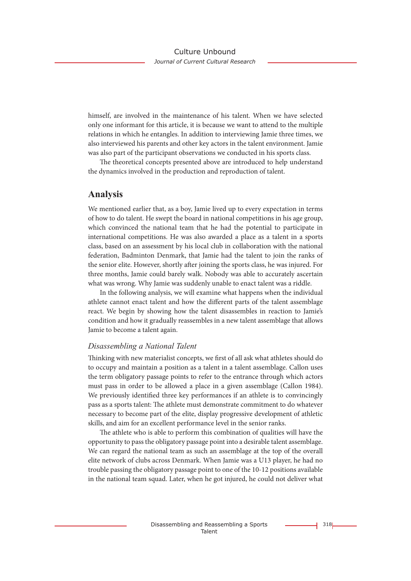himself, are involved in the maintenance of his talent. When we have selected only one informant for this article, it is because we want to attend to the multiple relations in which he entangles. In addition to interviewing Jamie three times, we also interviewed his parents and other key actors in the talent environment. Jamie was also part of the participant observations we conducted in his sports class.

The theoretical concepts presented above are introduced to help understand the dynamics involved in the production and reproduction of talent.

### **Analysis**

We mentioned earlier that, as a boy, Jamie lived up to every expectation in terms of how to do talent. He swept the board in national competitions in his age group, which convinced the national team that he had the potential to participate in international competitions. He was also awarded a place as a talent in a sports class, based on an assessment by his local club in collaboration with the national federation, Badminton Denmark, that Jamie had the talent to join the ranks of the senior elite. However, shortly after joining the sports class, he was injured. For three months, Jamie could barely walk. Nobody was able to accurately ascertain what was wrong. Why Jamie was suddenly unable to enact talent was a riddle.

In the following analysis, we will examine what happens when the individual athlete cannot enact talent and how the different parts of the talent assemblage react. We begin by showing how the talent disassembles in reaction to Jamie's condition and how it gradually reassembles in a new talent assemblage that allows Jamie to become a talent again.

#### *Disassembling a National Talent*

Thinking with new materialist concepts, we first of all ask what athletes should do to occupy and maintain a position as a talent in a talent assemblage. Callon uses the term obligatory passage points to refer to the entrance through which actors must pass in order to be allowed a place in a given assemblage (Callon 1984). We previously identified three key performances if an athlete is to convincingly pass as a sports talent: The athlete must demonstrate commitment to do whatever necessary to become part of the elite, display progressive development of athletic skills, and aim for an excellent performance level in the senior ranks.

The athlete who is able to perform this combination of qualities will have the opportunity to pass the obligatory passage point into a desirable talent assemblage. We can regard the national team as such an assemblage at the top of the overall elite network of clubs across Denmark. When Jamie was a U13 player, he had no trouble passing the obligatory passage point to one of the 10-12 positions available in the national team squad. Later, when he got injured, he could not deliver what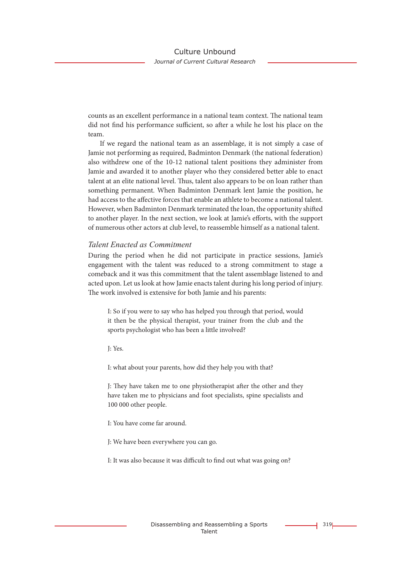counts as an excellent performance in a national team context. The national team did not find his performance sufficient, so after a while he lost his place on the team.

If we regard the national team as an assemblage, it is not simply a case of Jamie not performing as required, Badminton Denmark (the national federation) also withdrew one of the 10-12 national talent positions they administer from Jamie and awarded it to another player who they considered better able to enact talent at an elite national level. Thus, talent also appears to be on loan rather than something permanent. When Badminton Denmark lent Jamie the position, he had access to the affective forces that enable an athlete to become a national talent. However, when Badminton Denmark terminated the loan, the opportunity shifted to another player. In the next section, we look at Jamie's efforts, with the support of numerous other actors at club level, to reassemble himself as a national talent.

### *Talent Enacted as Commitment*

During the period when he did not participate in practice sessions, Jamie's engagement with the talent was reduced to a strong commitment to stage a comeback and it was this commitment that the talent assemblage listened to and acted upon. Let us look at how Jamie enacts talent during his long period of injury. The work involved is extensive for both Jamie and his parents:

I: So if you were to say who has helped you through that period, would it then be the physical therapist, your trainer from the club and the sports psychologist who has been a little involved?

J: Yes.

I: what about your parents, how did they help you with that?

J: They have taken me to one physiotherapist after the other and they have taken me to physicians and foot specialists, spine specialists and 100 000 other people.

I: You have come far around.

J: We have been everywhere you can go.

I: It was also because it was difficult to find out what was going on?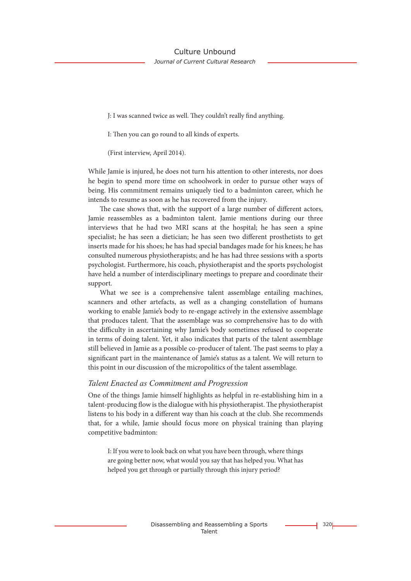J: I was scanned twice as well. They couldn't really find anything.

I: Then you can go round to all kinds of experts.

(First interview, April 2014).

While Jamie is injured, he does not turn his attention to other interests, nor does he begin to spend more time on schoolwork in order to pursue other ways of being. His commitment remains uniquely tied to a badminton career, which he intends to resume as soon as he has recovered from the injury.

The case shows that, with the support of a large number of different actors, Jamie reassembles as a badminton talent. Jamie mentions during our three interviews that he had two MRI scans at the hospital; he has seen a spine specialist; he has seen a dietician; he has seen two different prosthetists to get inserts made for his shoes; he has had special bandages made for his knees; he has consulted numerous physiotherapists; and he has had three sessions with a sports psychologist. Furthermore, his coach, physiotherapist and the sports psychologist have held a number of interdisciplinary meetings to prepare and coordinate their support.

What we see is a comprehensive talent assemblage entailing machines, scanners and other artefacts, as well as a changing constellation of humans working to enable Jamie's body to re-engage actively in the extensive assemblage that produces talent. That the assemblage was so comprehensive has to do with the difficulty in ascertaining why Jamie's body sometimes refused to cooperate in terms of doing talent. Yet, it also indicates that parts of the talent assemblage still believed in Jamie as a possible co-producer of talent. The past seems to play a significant part in the maintenance of Jamie's status as a talent. We will return to this point in our discussion of the micropolitics of the talent assemblage.

#### *Talent Enacted as Commitment and Progression*

One of the things Jamie himself highlights as helpful in re-establishing him in a talent-producing flow is the dialogue with his physiotherapist. The physiotherapist listens to his body in a different way than his coach at the club. She recommends that, for a while, Jamie should focus more on physical training than playing competitive badminton:

I: If you were to look back on what you have been through, where things are going better now, what would you say that has helped you. What has helped you get through or partially through this injury period?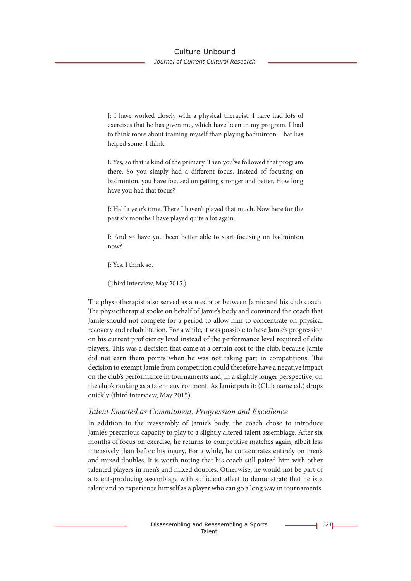# Culture Unbound

*Journal of Current Cultural Research*

J: I have worked closely with a physical therapist. I have had lots of exercises that he has given me, which have been in my program. I had to think more about training myself than playing badminton. That has helped some, I think.

I: Yes, so that is kind of the primary. Then you've followed that program there. So you simply had a different focus. Instead of focusing on badminton, you have focused on getting stronger and better. How long have you had that focus?

J: Half a year's time. There I haven't played that much. Now here for the past six months I have played quite a lot again.

I: And so have you been better able to start focusing on badminton now?

J: Yes. I think so.

(Third interview, May 2015.)

The physiotherapist also served as a mediator between Jamie and his club coach. The physiotherapist spoke on behalf of Jamie's body and convinced the coach that Jamie should not compete for a period to allow him to concentrate on physical recovery and rehabilitation. For a while, it was possible to base Jamie's progression on his current proficiency level instead of the performance level required of elite players. This was a decision that came at a certain cost to the club, because Jamie did not earn them points when he was not taking part in competitions. The decision to exempt Jamie from competition could therefore have a negative impact on the club's performance in tournaments and, in a slightly longer perspective, on the club's ranking as a talent environment. As Jamie puts it: (Club name ed.) drops quickly (third interview, May 2015).

### *Talent Enacted as Commitment, Progression and Excellence*

In addition to the reassembly of Jamie's body, the coach chose to introduce Jamie's precarious capacity to play to a slightly altered talent assemblage. After six months of focus on exercise, he returns to competitive matches again, albeit less intensively than before his injury. For a while, he concentrates entirely on men's and mixed doubles. It is worth noting that his coach still paired him with other talented players in men's and mixed doubles. Otherwise, he would not be part of a talent-producing assemblage with sufficient affect to demonstrate that he is a talent and to experience himself as a player who can go a long way in tournaments.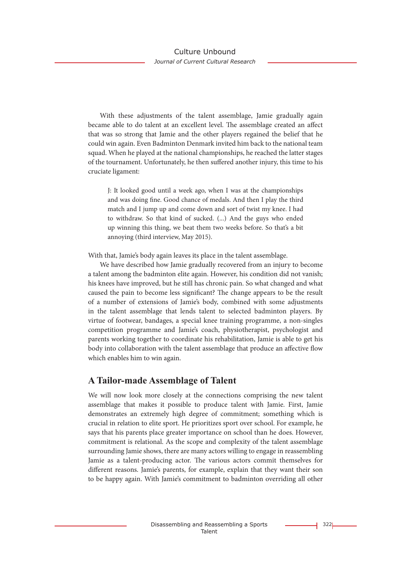With these adjustments of the talent assemblage, Jamie gradually again became able to do talent at an excellent level. The assemblage created an affect that was so strong that Jamie and the other players regained the belief that he could win again. Even Badminton Denmark invited him back to the national team squad. When he played at the national championships, he reached the latter stages of the tournament. Unfortunately, he then suffered another injury, this time to his cruciate ligament:

J: It looked good until a week ago, when I was at the championships and was doing fine. Good chance of medals. And then I play the third match and I jump up and come down and sort of twist my knee. I had to withdraw. So that kind of sucked. (...) And the guys who ended up winning this thing, we beat them two weeks before. So that's a bit annoying (third interview, May 2015).

With that, Jamie's body again leaves its place in the talent assemblage.

We have described how Jamie gradually recovered from an injury to become a talent among the badminton elite again. However, his condition did not vanish; his knees have improved, but he still has chronic pain. So what changed and what caused the pain to become less significant? The change appears to be the result of a number of extensions of Jamie's body, combined with some adjustments in the talent assemblage that lends talent to selected badminton players. By virtue of footwear, bandages, a special knee training programme, a non-singles competition programme and Jamie's coach, physiotherapist, psychologist and parents working together to coordinate his rehabilitation, Jamie is able to get his body into collaboration with the talent assemblage that produce an affective flow which enables him to win again.

### **A Tailor-made Assemblage of Talent**

We will now look more closely at the connections comprising the new talent assemblage that makes it possible to produce talent with Jamie. First, Jamie demonstrates an extremely high degree of commitment; something which is crucial in relation to elite sport. He prioritizes sport over school. For example, he says that his parents place greater importance on school than he does. However, commitment is relational. As the scope and complexity of the talent assemblage surrounding Jamie shows, there are many actors willing to engage in reassembling Jamie as a talent-producing actor. The various actors commit themselves for different reasons. Jamie's parents, for example, explain that they want their son to be happy again. With Jamie's commitment to badminton overriding all other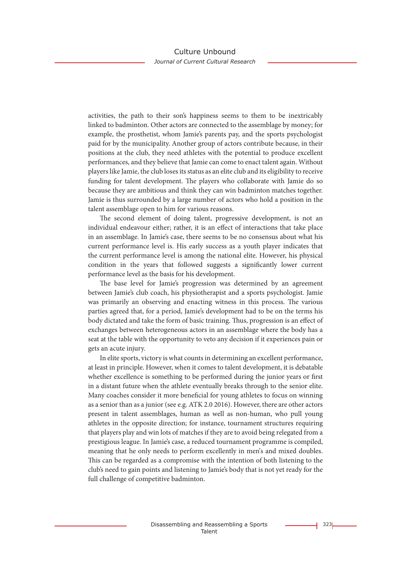activities, the path to their son's happiness seems to them to be inextricably linked to badminton. Other actors are connected to the assemblage by money; for example, the prosthetist, whom Jamie's parents pay, and the sports psychologist paid for by the municipality. Another group of actors contribute because, in their positions at the club, they need athletes with the potential to produce excellent performances, and they believe that Jamie can come to enact talent again. Without players like Jamie, the club loses its status as an elite club and its eligibility to receive funding for talent development. The players who collaborate with Jamie do so because they are ambitious and think they can win badminton matches together. Jamie is thus surrounded by a large number of actors who hold a position in the talent assemblage open to him for various reasons.

The second element of doing talent, progressive development, is not an individual endeavour either; rather, it is an effect of interactions that take place in an assemblage. In Jamie's case, there seems to be no consensus about what his current performance level is. His early success as a youth player indicates that the current performance level is among the national elite. However, his physical condition in the years that followed suggests a significantly lower current performance level as the basis for his development.

The base level for Jamie's progression was determined by an agreement between Jamie's club coach, his physiotherapist and a sports psychologist. Jamie was primarily an observing and enacting witness in this process. The various parties agreed that, for a period, Jamie's development had to be on the terms his body dictated and take the form of basic training. Thus, progression is an effect of exchanges between heterogeneous actors in an assemblage where the body has a seat at the table with the opportunity to veto any decision if it experiences pain or gets an acute injury.

In elite sports, victory is what counts in determining an excellent performance, at least in principle. However, when it comes to talent development, it is debatable whether excellence is something to be performed during the junior years or first in a distant future when the athlete eventually breaks through to the senior elite. Many coaches consider it more beneficial for young athletes to focus on winning as a senior than as a junior (see e.g. ATK 2.0 2016). However, there are other actors present in talent assemblages, human as well as non-human, who pull young athletes in the opposite direction; for instance, tournament structures requiring that players play and win lots of matches if they are to avoid being relegated from a prestigious league. In Jamie's case, a reduced tournament programme is compiled, meaning that he only needs to perform excellently in men's and mixed doubles. This can be regarded as a compromise with the intention of both listening to the club's need to gain points and listening to Jamie's body that is not yet ready for the full challenge of competitive badminton.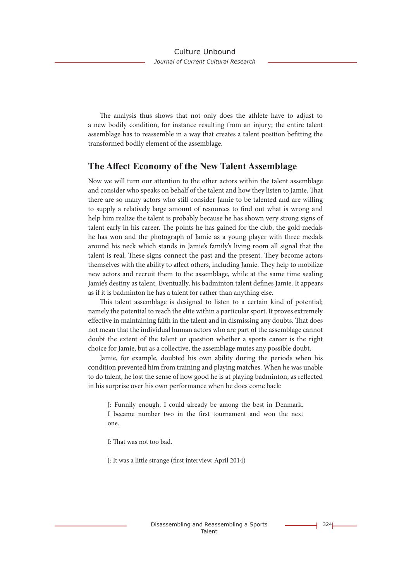The analysis thus shows that not only does the athlete have to adjust to a new bodily condition, for instance resulting from an injury; the entire talent assemblage has to reassemble in a way that creates a talent position befitting the transformed bodily element of the assemblage.

### **The Affect Economy of the New Talent Assemblage**

Now we will turn our attention to the other actors within the talent assemblage and consider who speaks on behalf of the talent and how they listen to Jamie. That there are so many actors who still consider Jamie to be talented and are willing to supply a relatively large amount of resources to find out what is wrong and help him realize the talent is probably because he has shown very strong signs of talent early in his career. The points he has gained for the club, the gold medals he has won and the photograph of Jamie as a young player with three medals around his neck which stands in Jamie's family's living room all signal that the talent is real. These signs connect the past and the present. They become actors themselves with the ability to affect others, including Jamie. They help to mobilize new actors and recruit them to the assemblage, while at the same time sealing Jamie's destiny as talent. Eventually, his badminton talent defines Jamie. It appears as if it is badminton he has a talent for rather than anything else.

This talent assemblage is designed to listen to a certain kind of potential; namely the potential to reach the elite within a particular sport. It proves extremely effective in maintaining faith in the talent and in dismissing any doubts. That does not mean that the individual human actors who are part of the assemblage cannot doubt the extent of the talent or question whether a sports career is the right choice for Jamie, but as a collective, the assemblage mutes any possible doubt.

Jamie, for example, doubted his own ability during the periods when his condition prevented him from training and playing matches. When he was unable to do talent, he lost the sense of how good he is at playing badminton, as reflected in his surprise over his own performance when he does come back:

J: Funnily enough, I could already be among the best in Denmark. I became number two in the first tournament and won the next one.

I: That was not too bad.

J: It was a little strange (first interview, April 2014)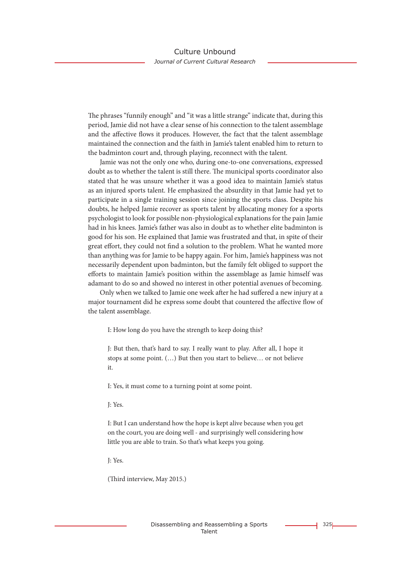The phrases "funnily enough" and "it was a little strange" indicate that, during this period, Jamie did not have a clear sense of his connection to the talent assemblage and the affective flows it produces. However, the fact that the talent assemblage maintained the connection and the faith in Jamie's talent enabled him to return to the badminton court and, through playing, reconnect with the talent.

Jamie was not the only one who, during one-to-one conversations, expressed doubt as to whether the talent is still there. The municipal sports coordinator also stated that he was unsure whether it was a good idea to maintain Jamie's status as an injured sports talent. He emphasized the absurdity in that Jamie had yet to participate in a single training session since joining the sports class. Despite his doubts, he helped Jamie recover as sports talent by allocating money for a sports psychologist to look for possible non-physiological explanations for the pain Jamie had in his knees. Jamie's father was also in doubt as to whether elite badminton is good for his son. He explained that Jamie was frustrated and that, in spite of their great effort, they could not find a solution to the problem. What he wanted more than anything was for Jamie to be happy again. For him, Jamie's happiness was not necessarily dependent upon badminton, but the family felt obliged to support the efforts to maintain Jamie's position within the assemblage as Jamie himself was adamant to do so and showed no interest in other potential avenues of becoming.

Only when we talked to Jamie one week after he had suffered a new injury at a major tournament did he express some doubt that countered the affective flow of the talent assemblage.

I: How long do you have the strength to keep doing this?

J: But then, that's hard to say. I really want to play. After all, I hope it stops at some point. (…) But then you start to believe… or not believe it.

I: Yes, it must come to a turning point at some point.

J: Yes.

I: But I can understand how the hope is kept alive because when you get on the court, you are doing well - and surprisingly well considering how little you are able to train. So that's what keeps you going.

J: Yes.

(Third interview, May 2015.)

 $325$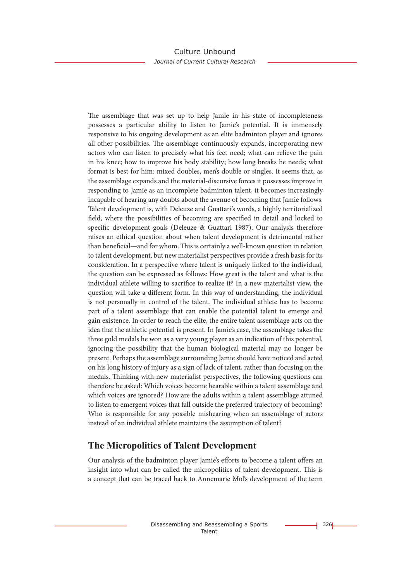The assemblage that was set up to help Jamie in his state of incompleteness possesses a particular ability to listen to Jamie's potential. It is immensely responsive to his ongoing development as an elite badminton player and ignores all other possibilities. The assemblage continuously expands, incorporating new actors who can listen to precisely what his feet need; what can relieve the pain in his knee; how to improve his body stability; how long breaks he needs; what format is best for him: mixed doubles, men's double or singles. It seems that, as the assemblage expands and the material-discursive forces it possesses improve in responding to Jamie as an incomplete badminton talent, it becomes increasingly incapable of hearing any doubts about the avenue of becoming that Jamie follows. Talent development is, with Deleuze and Guattari's words, a highly territorialized field, where the possibilities of becoming are specified in detail and locked to specific development goals (Deleuze & Guattari 1987). Our analysis therefore raises an ethical question about when talent development is detrimental rather than beneficial—and for whom. This is certainly a well-known question in relation to talent development, but new materialist perspectives provide a fresh basis for its consideration. In a perspective where talent is uniquely linked to the individual, the question can be expressed as follows: How great is the talent and what is the individual athlete willing to sacrifice to realize it? In a new materialist view, the question will take a different form. In this way of understanding, the individual is not personally in control of the talent. The individual athlete has to become part of a talent assemblage that can enable the potential talent to emerge and gain existence. In order to reach the elite, the entire talent assemblage acts on the idea that the athletic potential is present. In Jamie's case, the assemblage takes the three gold medals he won as a very young player as an indication of this potential, ignoring the possibility that the human biological material may no longer be present. Perhaps the assemblage surrounding Jamie should have noticed and acted on his long history of injury as a sign of lack of talent, rather than focusing on the medals. Thinking with new materialist perspectives, the following questions can therefore be asked: Which voices become hearable within a talent assemblage and which voices are ignored? How are the adults within a talent assemblage attuned to listen to emergent voices that fall outside the preferred trajectory of becoming? Who is responsible for any possible mishearing when an assemblage of actors instead of an individual athlete maintains the assumption of talent?

# **The Micropolitics of Talent Development**

Our analysis of the badminton player Jamie's efforts to become a talent offers an insight into what can be called the micropolitics of talent development. This is a concept that can be traced back to Annemarie Mol's development of the term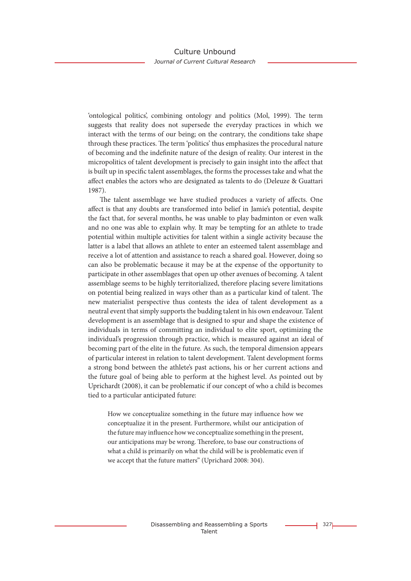'ontological politics', combining ontology and politics (Mol, 1999). The term suggests that reality does not supersede the everyday practices in which we interact with the terms of our being; on the contrary, the conditions take shape through these practices. The term 'politics' thus emphasizes the procedural nature of becoming and the indefinite nature of the design of reality. Our interest in the micropolitics of talent development is precisely to gain insight into the affect that is built up in specific talent assemblages, the forms the processes take and what the affect enables the actors who are designated as talents to do (Deleuze & Guattari 1987).

The talent assemblage we have studied produces a variety of affects. One affect is that any doubts are transformed into belief in Jamie's potential, despite the fact that, for several months, he was unable to play badminton or even walk and no one was able to explain why. It may be tempting for an athlete to trade potential within multiple activities for talent within a single activity because the latter is a label that allows an athlete to enter an esteemed talent assemblage and receive a lot of attention and assistance to reach a shared goal. However, doing so can also be problematic because it may be at the expense of the opportunity to participate in other assemblages that open up other avenues of becoming. A talent assemblage seems to be highly territorialized, therefore placing severe limitations on potential being realized in ways other than as a particular kind of talent. The new materialist perspective thus contests the idea of talent development as a neutral event that simply supports the budding talent in his own endeavour. Talent development is an assemblage that is designed to spur and shape the existence of individuals in terms of committing an individual to elite sport, optimizing the individual's progression through practice, which is measured against an ideal of becoming part of the elite in the future. As such, the temporal dimension appears of particular interest in relation to talent development. Talent development forms a strong bond between the athlete's past actions, his or her current actions and the future goal of being able to perform at the highest level. As pointed out by Uprichardt (2008), it can be problematic if our concept of who a child is becomes tied to a particular anticipated future:

How we conceptualize something in the future may influence how we conceptualize it in the present. Furthermore, whilst our anticipation of the future may influence how we conceptualize something in the present, our anticipations may be wrong. Therefore, to base our constructions of what a child is primarily on what the child will be is problematic even if we accept that the future matters" (Uprichard 2008: 304).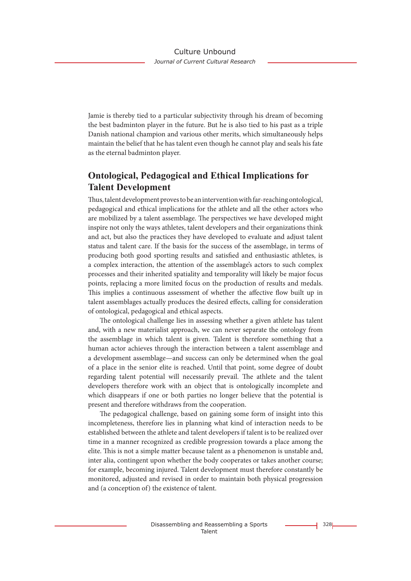Jamie is thereby tied to a particular subjectivity through his dream of becoming the best badminton player in the future. But he is also tied to his past as a triple Danish national champion and various other merits, which simultaneously helps maintain the belief that he has talent even though he cannot play and seals his fate as the eternal badminton player.

# **Ontological, Pedagogical and Ethical Implications for Talent Development**

Thus, talent development proves to be an intervention with far-reaching ontological, pedagogical and ethical implications for the athlete and all the other actors who are mobilized by a talent assemblage. The perspectives we have developed might inspire not only the ways athletes, talent developers and their organizations think and act, but also the practices they have developed to evaluate and adjust talent status and talent care. If the basis for the success of the assemblage, in terms of producing both good sporting results and satisfied and enthusiastic athletes, is a complex interaction, the attention of the assemblage's actors to such complex processes and their inherited spatiality and temporality will likely be major focus points, replacing a more limited focus on the production of results and medals. This implies a continuous assessment of whether the affective flow built up in talent assemblages actually produces the desired effects, calling for consideration of ontological, pedagogical and ethical aspects.

The ontological challenge lies in assessing whether a given athlete has talent and, with a new materialist approach, we can never separate the ontology from the assemblage in which talent is given. Talent is therefore something that a human actor achieves through the interaction between a talent assemblage and a development assemblage—and success can only be determined when the goal of a place in the senior elite is reached. Until that point, some degree of doubt regarding talent potential will necessarily prevail. The athlete and the talent developers therefore work with an object that is ontologically incomplete and which disappears if one or both parties no longer believe that the potential is present and therefore withdraws from the cooperation.

The pedagogical challenge, based on gaining some form of insight into this incompleteness, therefore lies in planning what kind of interaction needs to be established between the athlete and talent developers if talent is to be realized over time in a manner recognized as credible progression towards a place among the elite. This is not a simple matter because talent as a phenomenon is unstable and, inter alia, contingent upon whether the body cooperates or takes another course; for example, becoming injured. Talent development must therefore constantly be monitored, adjusted and revised in order to maintain both physical progression and (a conception of) the existence of talent.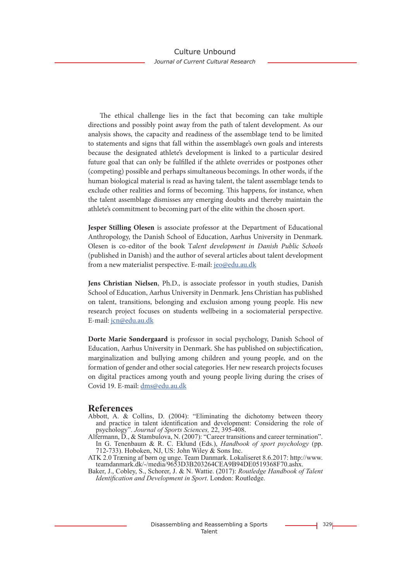The ethical challenge lies in the fact that becoming can take multiple directions and possibly point away from the path of talent development. As our analysis shows, the capacity and readiness of the assemblage tend to be limited to statements and signs that fall within the assemblage's own goals and interests because the designated athlete's development is linked to a particular desired future goal that can only be fulfilled if the athlete overrides or postpones other (competing) possible and perhaps simultaneous becomings. In other words, if the human biological material is read as having talent, the talent assemblage tends to exclude other realities and forms of becoming. This happens, for instance, when the talent assemblage dismisses any emerging doubts and thereby maintain the athlete's commitment to becoming part of the elite within the chosen sport.

**Jesper Stilling Olesen** is associate professor at the Department of Educational Anthropology, the Danish School of Education, Aarhus University in Denmark. Olesen is co-editor of the book T*alent development in Danish Public Schools* (published in Danish) and the author of several articles about talent development from a new materialist perspective. E-mail: jeo@edu.au.dk

**Jens Christian Nielsen**, Ph.D., is associate professor in youth studies, Danish School of Education, Aarhus University in Denmark. Jens Christian has published on talent, transitions, belonging and exclusion among young people. His new research project focuses on students wellbeing in a sociomaterial perspective. E-mail: jcn@edu.au.dk

**Dorte Marie Søndergaard** is professor in social psychology, Danish School of Education, Aarhus University in Denmark. She has published on subjectification, marginalization and bullying among children and young people, and on the formation of gender and other social categories. Her new research projects focuses on digital practices among youth and young people living during the crises of Covid 19. E-mail: dms@edu.au.dk

### **References**

- Abbott, A. & Collins, D. (2004): "Eliminating the dichotomy between theory and practice in talent identification and development: Considering the role of psychology". *Journal of Sports Sciences,* 22, 395-408.
- Alfermann, D., & Stambulova, N. (2007): "Career transitions and career termination". In G. Tenenbaum & R. C. Eklund (Eds.), *Handbook of sport psychology* (pp. 712-733). Hoboken, NJ, US: John Wiley & Sons Inc.
- ATK 2.0 Træning af børn og unge. Team Danmark. Lokaliseret 8.6.2017: http://www. teamdanmark.dk/-/media/9653D3B203264CEA9B94DE0519368F70.ashx.
- Baker, J., Cobley, S., Schorer, J. & N. Wattie. (2017): *Routledge Handbook of Talent Identification and Development in Sport*. London: Routledge.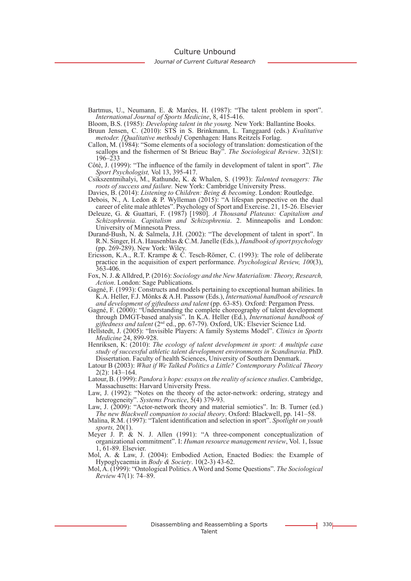Culture Unbound

*Journal of Current Cultural Research*

Bartmus, U., Neumann, E. & Marées, H. (1987): "The talent problem in sport". *International Journal of Sports Medicine*, 8, 415-416.

Bloom, B.S. (1985): *Developing talent in the young.* New York: Ballantine Books.

- Bruun Jensen, C. (2010): STS in S. Brinkmann, L. Tanggaard (eds.) *Kvalitative metoder. [Qualitative methods]* Copenhagen: Hans Reitzels Forlag.
- Callon, M. (1984): "Some elements of a sociology of translation: domestication of the scallops and the fishermen of St Brieuc Bay". *The Sociological Review*. 32(S1): 196–233
- Côtè, J. (1999): "The influence of the family in development of talent in sport". *The Sport Psychologist,* Vol 13, 395-417.
- Csikszentmihalyi, M., Rathunde, K. & Whalen, S. (1993): *Talented teenagers: The roots of success and failure.* New York: Cambridge University Press.
- Davies, B. (2014): *Listening to Children: Being & becoming*. London: Routledge.
- Debois, N., A. Ledon & P. Wylleman (2015): "A lifespan perspective on the dual career of elite male athletes". Psychology of Sport and Exercise. 21, 15-26. Elsevier
- Deleuze, G. & Guattari, F. (1987) [1980]. *A Thousand Plateaus: Capitalism and Schizophrenia. Capitalism and Schizophrenia*. 2. Minneapolis and London: University of Minnesota Press.
- Durand-Bush, N. & Salmela, J.H. (2002): "The development of talent in sport". In R.N. Singer, H.A. Hausenblas & C.M. Janelle (Eds.), *Handbook of sport psychology*  (pp. 269-289). New York: Wiley.
- Ericsson, K.A., R.T. Krampe & C. Tesch-Römer, C. (1993): The role of deliberate practice in the acquisition of expert performance. *Psychological Review, 100*(3), 363-406.
- Fox, N. J. & Alldred, P. (2016): *Sociology and the New Materialism: Theory, Research, Action*. London: Sage Publications.
- Gagné, F. (1993): Constructs and models pertaining to exceptional human abilities. In K.A. Heller, F.J. Mönks & A.H. Passow (Eds.), *International handbook of research and development of giftedness and talent* (pp. 63-85). Oxford: Pergamon Press.
- Gagné, F. (2000): "Understanding the complete choreography of talent development through DMGT-based analysis". In K.A. Heller (Ed.), *International handbook of giftedness and talent* (2nd ed., pp. 67-79). Oxford, UK: Elsevier Science Ltd.
- Hellstedt, J. (2005): "Invisible Players: A family Systems Model". *Clinics in Sports Medicine* 24, 899-928.
- Henriksen, K: (2010): *The ecology of talent development in sport: A multiple case study of successful athletic talent development environments in Scandinavia*. PhD. Dissertation. Faculty of health Sciences, University of Southern Denmark.
- Latour B (2003): *What if We Talked Politics a Little? Contemporary Political Theory* 2(2): 143–164.
- Latour, B. (1999): *Pandora's hope: essays on the reality of science studies*. Cambridge, Massachusetts: Harvard University Press.
- Law, J. (1992): "Notes on the theory of the actor-network: ordering, strategy and heterogeneity". *Systems Practice*, 5(4) 379-93.
- Law, J. (2009): "Actor-network theory and material semiotics". In: B. Turner (ed.) *The new Blackwell companion to social theory*. Oxford: Blackwell, pp. 141–58.
- Malina, R.M. (1997): "Talent identification and selection in sport". *Spotlight on youth sports,* 20(1).
- Meyer J. P. & N. J. Allen (1991): "A three-component conceptualization of organizational commitment". I: *Human resource management review*, Vol. 1, Issue 1, 61-89. Elsevier.
- Mol, A. & Law, J. (2004): Embodied Action, Enacted Bodies: the Example of Hypoglycaemia in *Body & Society*. 10(2-3) 43-62.
- Mol, A. (1999): "Ontological Politics. A Word and Some Questions". *The Sociological Review* 47(1): 74–89.